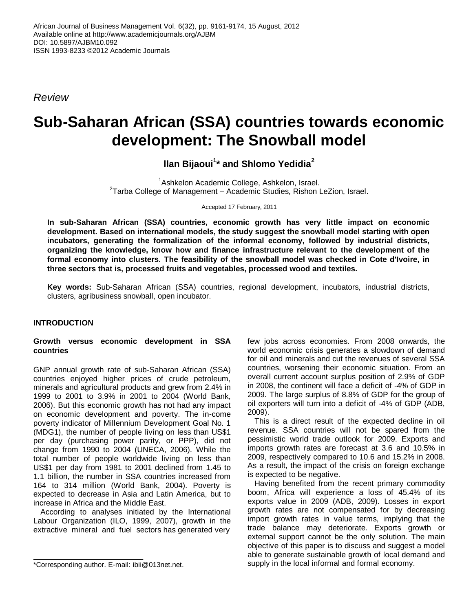*Review*

# **Sub-Saharan African (SSA) countries towards economic development: The Snowball model**

**llan Bijaoui<sup>1</sup> \* and Shlomo Yedidia<sup>2</sup>**

<sup>1</sup>Ashkelon Academic College, Ashkelon, Israel.  $2$ Tarba College of Management – Academic Studies, Rishon LeZion, Israel.

Accepted 17 February, 2011

**In sub-Saharan African (SSA) countries, economic growth has very little impact on economic development. Based on international models, the study suggest the snowball model starting with open incubators, generating the formalization of the informal economy, followed by industrial districts, organizing the knowledge, know how and finance infrastructure relevant to the development of the formal economy into clusters. The feasibility of the snowball model was checked in Cote d'Ivoire, in three sectors that is, processed fruits and vegetables, processed wood and textiles.** 

**Key words:** Sub-Saharan African (SSA) countries, regional development, incubators, industrial districts, clusters, agribusiness snowball, open incubator.

# **INTRODUCTION**

#### **Growth versus economic development in SSA countries**

GNP annual growth rate of sub-Saharan African (SSA) countries enjoyed higher prices of crude petroleum, minerals and agricultural products and grew from 2.4% in 1999 to 2001 to 3.9% in 2001 to 2004 (World Bank, 2006). But this economic growth has not had any impact on economic development and poverty. The in-come poverty indicator of Millennium Development Goal No. 1 (MDG1), the number of people living on less than US\$1 per day (purchasing power parity, or PPP), did not change from 1990 to 2004 (UNECA, 2006). While the total number of people worldwide living on less than US\$1 per day from 1981 to 2001 declined from 1.45 to 1.1 billion, the number in SSA countries increased from 164 to 314 million (World Bank, 2004). Poverty is expected to decrease in Asia and Latin America, but to increase in Africa and the Middle East.

According to analyses initiated by the International Labour Organization (ILO, 1999, 2007), growth in the extractive mineral and fuel sectors has generated very

few jobs across economies. From 2008 onwards, the world economic crisis generates a slowdown of demand for oil and minerals and cut the revenues of several SSA countries, worsening their economic situation. From an overall current account surplus position of 2.9% of GDP in 2008, the continent will face a deficit of -4% of GDP in 2009. The large surplus of 8.8% of GDP for the group of oil exporters will turn into a deficit of -4% of GDP (ADB, 2009).

This is a direct result of the expected decline in oil revenue. SSA countries will not be spared from the pessimistic world trade outlook for 2009. Exports and imports growth rates are forecast at 3.6 and 10.5% in 2009, respectively compared to 10.6 and 15.2% in 2008. As a result, the impact of the crisis on foreign exchange is expected to be negative.

Having benefited from the recent primary commodity boom, Africa will experience a loss of 45.4% of its exports value in 2009 (ADB, 2009). Losses in export growth rates are not compensated for by decreasing import growth rates in value terms, implying that the trade balance may deteriorate. Exports growth or external support cannot be the only solution. The main objective of this paper is to discuss and suggest a model able to generate sustainable growth of local demand and supply in the local informal and formal economy.

<sup>\*</sup>Corresponding author. E-mail: ibii@013net.net.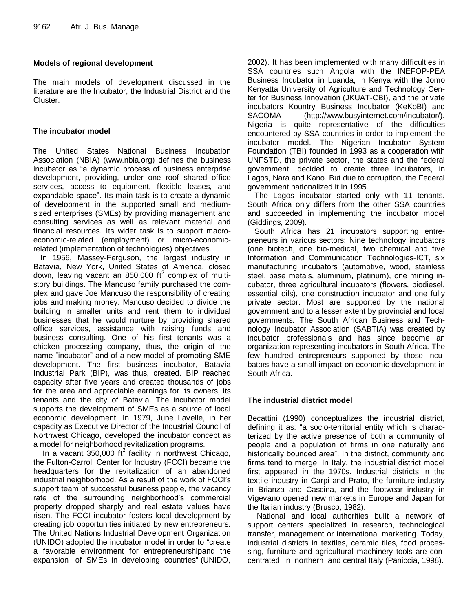## **Models of regional development**

The main models of development discussed in the literature are the Incubator, the Industrial District and the Cluster.

## **The incubator model**

The United States National Business Incubation Association (NBIA) (www.nbia.org) defines the business incubator as "a dynamic process of business enterprise development, providing, under one roof shared office services, access to equipment, flexible leases, and expandable space". Its main task is to create a dynamic of development in the supported small and mediumsized enterprises (SMEs) by providing management and consulting services as well as relevant material and financial resources. Its wider task is to support macroeconomic-related (employment) or micro-economicrelated (implementation of technologies) objectives.

In 1956, Massey-Ferguson, the largest industry in Batavia, New York, United States of America, closed down, leaving vacant an 850,000  $\text{ft}^2$  complex of multistory buildings. The Mancuso family purchased the complex and gave Joe Mancuso the responsibility of creating jobs and making money. Mancuso decided to divide the building in smaller units and rent them to individual businesses that he would nurture by providing shared office services, assistance with raising funds and business consulting. One of his first tenants was a chicken processing company, thus, the origin of the name "incubator" and of a new model of promoting SME development. The first business incubator, Batavia Industrial Park (BIP), was thus, created. BIP reached capacity after five years and created thousands of jobs for the area and appreciable earnings for its owners, its tenants and the city of Batavia. The incubator model supports the development of SMEs as a source of local economic development. In 1979, June Lavelle, in her capacity as Executive Director of the Industrial Council of Northwest Chicago, developed the incubator concept as a model for neighborhood revitalization programs.

In a vacant  $350,000$  ft<sup>2</sup> facility in northwest Chicago, the Fulton-Carroll Center for Industry (FCCI) became the headquarters for the revitalization of an abandoned industrial neighborhood. As a result of the work of FCCI's support team of successful business people, the vacancy rate of the surrounding neighborhood's commercial property dropped sharply and real estate values have risen. The FCCI incubator fosters local development by creating job opportunities initiated by new entrepreneurs. The United Nations Industrial Development Organization (UNIDO) adopted the incubator model in order to "create" a favorable environment for entrepreneurshipand the expansion of SMEs in developing countries" (UNIDO,

2002). It has been implemented with many difficulties in SSA countries such Angola with the INEFOP-PEA Business Incubator in Luanda, in Kenya with the Jomo Kenyatta University of Agriculture and Technology Center for Business Innovation (JKUAT-CBI), and the private incubators Kountry Business Incubator (KeKoBI) and SACOMA (http://www.busyinternet.com/incubator/). Nigeria is quite representative of the difficulties encountered by SSA countries in order to implement the incubator model. The Nigerian Incubator System Foundation (TBI) founded in 1993 as a cooperation with UNFSTD, the private sector, the states and the federal government, decided to create three incubators, in Lagos, Nara and Kano. But due to corruption, the Federal government nationalized it in 1995.

The Lagos incubator started only with 11 tenants. South Africa only differs from the other SSA countries and succeeded in implementing the incubator model (Giddings, 2009).

South Africa has 21 incubators supporting entrepreneurs in various sectors: Nine technology incubators (one biotech, one bio-medical, two chemical and five Information and Communication Technologies-ICT, six manufacturing incubators (automotive, wood, stainless steel, base metals, aluminum, platinum), one mining incubator, three agricultural incubators (flowers, biodiesel, essential oils), one construction incubator and one fully private sector. Most are supported by the national government and to a lesser extent by provincial and local governments. The South African Business and Technology Incubator Association (SABTIA) was created by incubator professionals and has since become an organization representing incubators in South Africa. The few hundred entrepreneurs supported by those incubators have a small impact on economic development in South Africa.

# **The industrial district model**

Becattini (1990) conceptualizes the industrial district, defining it as: "a socio-territorial entity which is characterized by the active presence of both a community of people and a population of firms in one naturally and historically bounded area". In the district, community and firms tend to merge. In Italy, the industrial district model first appeared in the 1970s. Industrial districts in the textile industry in Carpi and Prato, the furniture industry in Brianza and Cascina, and the footwear industry in Vigevano opened new markets in Europe and Japan for the Italian industry (Brusco, 1982).

National and local authorities built a network of support centers specialized in research, technological transfer, management or international marketing. Today, industrial districts in textiles, ceramic tiles, food processing, furniture and agricultural machinery tools are concentrated in northern and central Italy (Paniccia, 1998).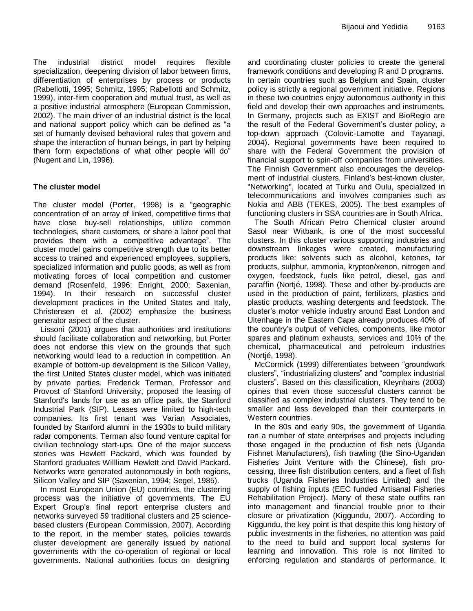The industrial district model requires flexible specialization, deepening division of labor between firms, differentiation of enterprises by process or products (Rabellotti, 1995; Schmitz, 1995; Rabellotti and Schmitz, 1999), inter-firm cooperation and mutual trust, as well as a positive industrial atmosphere (European Commission, 2002). The main driver of an industrial district is the local and national support policy which can be defined as "a set of humanly devised behavioral rules that govern and shape the interaction of human beings, in part by helping them form expectations of what other people will do" (Nugent and Lin, 1996).

# **The cluster model**

The cluster model (Porter, 1998) is a "geographic concentration of an array of linked, competitive firms that have close buy-sell relationships, utilize common technologies, share customers, or share a labor pool that provides them with a competitive advantage". The cluster model gains competitive strength due to its better access to trained and experienced employees, suppliers, specialized information and public goods, as well as from motivating forces of local competition and customer demand (Rosenfeld, 1996; Enright, 2000; Saxenian, 1994). In their research on successful cluster development practices in the United States and Italy, Christensen et al. (2002) emphasize the business generator aspect of the cluster.

Lissoni (2001) argues that authorities and institutions should facilitate collaboration and networking, but Porter does not endorse this view on the grounds that such networking would lead to a reduction in competition. An example of bottom-up development is the Silicon Valley, the first United States cluster model, which was initiated by private parties. Frederick Terman, Professor and Provost of Stanford University, proposed the leasing of Stanford's lands for use as an office park, the Stanford Industrial Park (SIP). Leases were limited to high-tech companies. Its first tenant was Varian Associates, founded by Stanford alumni in the 1930s to build military radar components. Terman also found venture capital for civilian technology start-ups. One of the major success stories was Hewlett Packard, which was founded by Stanford graduates Willliam Hewlett and David Packard. Networks were generated autonomously in both regions, Silicon Valley and SIP (Saxenian, 1994; Segel, 1985).

In most European Union (EU) countries, the clustering process was the initiative of governments. The EU Expert Group's final report enterprise clusters and networks surveyed 59 traditional clusters and 25 sciencebased clusters (European Commission, 2007). According to the report, in the member states, policies towards cluster development are generally issued by national governments with the co-operation of regional or local governments. National authorities focus on designing and coordinating cluster policies to create the general framework conditions and developing R and D programs. In certain countries such as Belgium and Spain, cluster policy is strictly a regional government initiative. Regions in these two countries enjoy autonomous authority in this field and develop their own approaches and instruments. In Germany, projects such as EXIST and BioRegio are the result of the Federal Government's cluster policy, a top-down approach (Colovic-Lamotte and Tayanagi, 2004). Regional governments have been required to share with the Federal Government the provision of financial support to spin-off companies from universities. The Finnish Government also encourages the development of industrial clusters. Finland's best-known cluster, "Networking", located at Turku and Oulu, specialized in telecommunications and involves companies such as Nokia and ABB (TEKES, 2005). The best examples of functioning clusters in SSA countries are in South Africa.

The South African Petro Chemical cluster around Sasol near Witbank, is one of the most successful clusters. In this cluster various supporting industries and downstream linkages were created, manufacturing products like: solvents such as alcohol, ketones, tar products, sulphur, ammonia, krypton/xenon, nitrogen and oxygen, feedstock, fuels like petrol, diesel, gas and paraffin (Nortjé, 1998). These and other by-products are used in the production of paint, fertilizers, plastics and plastic products, washing detergents and feedstock. The cluster's motor vehicle industry around East London and Uitenhage in the Eastern Cape already produces 40% of the country's output of vehicles, components, like motor spares and platinum exhausts, services and 10% of the chemical, pharmaceutical and petroleum industries (Nortjé, 1998).

McCormick (1999) differentiates between "groundwork clusters", "industrializing clusters" and "complex industrial clusters". Based on this classification, Kleynhans (2003) opines that even those successful clusters cannot be classified as complex industrial clusters. They tend to be smaller and less developed than their counterparts in Western countries.

In the 80s and early 90s, the government of Uganda ran a number of state enterprises and projects including those engaged in the production of fish nets (Uganda Fishnet Manufacturers), fish trawling (the Sino-Ugandan Fisheries Joint Venture with the Chinese), fish processing, three fish distribution centers, and a fleet of fish trucks (Uganda Fisheries Industries Limited) and the supply of fishing inputs (EEC funded Artisanal Fisheries Rehabilitation Project). Many of these state outfits ran into management and financial trouble prior to their closure or privatization (Kiggundu, 2007). According to Kiggundu, the key point is that despite this long history of public investments in the fisheries, no attention was paid to the need to build and support local systems for learning and innovation. This role is not limited to enforcing regulation and standards of performance. It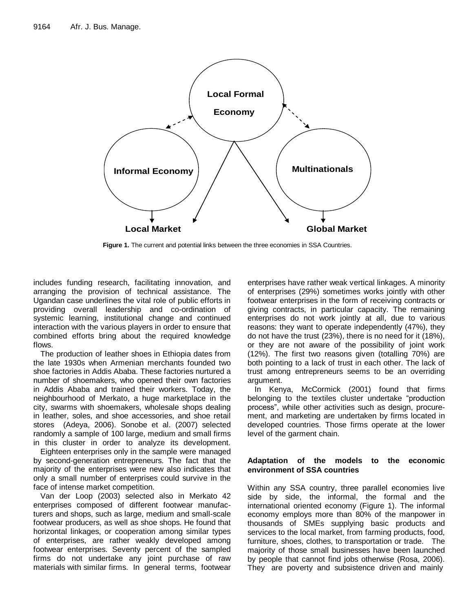

**Figure 1.** The current and potential links between the three economies in SSA Countries.

includes funding research, facilitating innovation, and arranging the provision of technical assistance. The Ugandan case underlines the vital role of public efforts in providing overall leadership and co-ordination of systemic learning, institutional change and continued interaction with the various players in order to ensure that combined efforts bring about the required knowledge flows.

The production of leather shoes in Ethiopia dates from the late 1930s when Armenian merchants founded two shoe factories in Addis Ababa. These factories nurtured a number of shoemakers, who opened their own factories in Addis Ababa and trained their workers. Today, the neighbourhood of Merkato, a huge marketplace in the city, swarms with shoemakers, wholesale shops dealing in leather, soles, and shoe accessories, and shoe retail stores (Adeya, 2006). Sonobe et al. (2007) selected randomly a sample of 100 large, medium and small firms in this cluster in order to analyze its development.

Eighteen enterprises only in the sample were managed by second-generation entrepreneurs. The fact that the majority of the enterprises were new also indicates that only a small number of enterprises could survive in the face of intense market competition.

Van der Loop (2003) selected also in Merkato 42 enterprises composed of different footwear manufacturers and shops, such as large, medium and small-scale footwear producers, as well as shoe shops. He found that horizontal linkages, or cooperation among similar types of enterprises, are rather weakly developed among footwear enterprises. Seventy percent of the sampled firms do not undertake any joint purchase of raw materials with similar firms. In general terms, footwear

enterprises have rather weak vertical linkages. A minority of enterprises (29%) sometimes works jointly with other footwear enterprises in the form of receiving contracts or giving contracts, in particular capacity. The remaining enterprises do not work jointly at all, due to various reasons: they want to operate independently (47%), they do not have the trust (23%), there is no need for it (18%), or they are not aware of the possibility of joint work (12%). The first two reasons given (totalling 70%) are both pointing to a lack of trust in each other. The lack of trust among entrepreneurs seems to be an overriding argument.

In Kenya, McCormick (2001) found that firms belonging to the textiles cluster undertake "production process", while other activities such as design, procurement, and marketing are undertaken by firms located in developed countries. Those firms operate at the lower level of the garment chain.

# **Adaptation of the models to the economic environment of SSA countries**

Within any SSA country, three parallel economies live side by side, the informal, the formal and the international oriented economy (Figure 1). The informal economy employs more than 80% of the manpower in thousands of SMEs supplying basic products and services to the local market, from farming products, food, furniture, shoes, clothes, to transportation or trade. The majority of those small businesses have been launched by people that cannot find jobs otherwise (Rosa, 2006). They are poverty and subsistence driven and mainly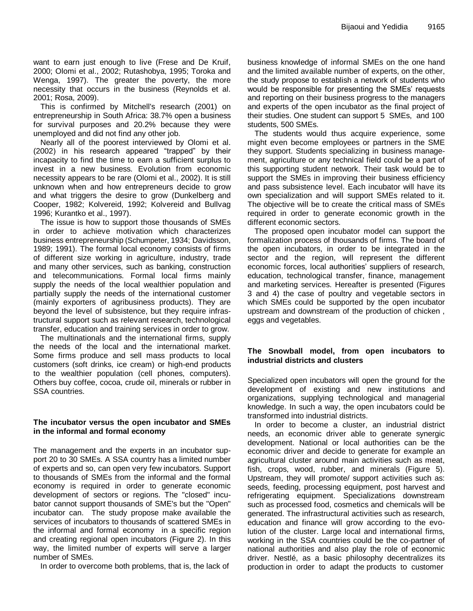want to earn just enough to live (Frese and De Kruif, 2000; Olomi et al., 2002; Rutashobya, 1995; Toroka and Wenga, 1997). The greater the poverty, the more necessity that occurs in the business (Reynolds et al. 2001; Rosa, 2009).

This is confirmed by Mitchell's research (2001) on entrepreneurship in South Africa: 38.7% open a business for survival purposes and 20.2% because they were unemployed and did not find any other job.

Nearly all of the poorest interviewed by Olomi et al. (2002) in his research appeared "trapped" by their incapacity to find the time to earn a sufficient surplus to invest in a new business. Evolution from economic necessity appears to be rare (Olomi et al., 2002). It is still unknown when and how entrepreneurs decide to grow and what triggers the desire to grow (Dunkelberg and Cooper, 1982; Kolvereid, 1992; Kolvereid and Bullvag 1996; Kurantko et al., 1997).

The issue is how to support those thousands of SMEs in order to achieve motivation which characterizes business entrepreneurship (Schumpeter, 1934; Davidsson, 1989; 1991). The formal local economy consists of firms of different size working in agriculture, industry, trade and many other services, such as banking, construction and telecommunications. Formal local firms mainly supply the needs of the local wealthier population and partially supply the needs of the international customer (mainly exporters of agribusiness products). They are beyond the level of subsistence, but they require infrastructural support such as relevant research, technological transfer, education and training services in order to grow.

The multinationals and the international firms, supply the needs of the local and the international market. Some firms produce and sell mass products to local customers (soft drinks, ice cream) or high-end products to the wealthier population (cell phones, computers). Others buy coffee, cocoa, crude oil, minerals or rubber in SSA countries.

#### **The incubator versus the open incubator and SMEs in the informal and formal economy**

The management and the experts in an incubator support 20 to 30 SMEs. A SSA country has a limited number of experts and so, can open very few incubators. Support to thousands of SMEs from the informal and the formal economy is required in order to generate economic development of sectors or regions. The "closed" incubator cannot support thousands of SME's but the "Open" incubator can. The study propose make available the services of incubators to thousands of scattered SMEs in the informal and formal economy in a specific region and creating regional open incubators (Figure 2). In this way, the limited number of experts will serve a larger number of SMEs.

In order to overcome both problems, that is, the lack of

business knowledge of informal SMEs on the one hand and the limited available number of experts, on the other, the study propose to establish a network of students who would be responsible for presenting the SMEs' requests and reporting on their business progress to the managers and experts of the open incubator as the final project of their studies. One student can support 5 SMEs, and 100 students, 500 SMEs.

The students would thus acquire experience, some might even become employees or partners in the SME they support. Students specializing in business management, agriculture or any technical field could be a part of this supporting student network. Their task would be to support the SMEs in improving their business efficiency and pass subsistence level. Each incubator will have its own specialization and will support SMEs related to it. The objective will be to create the critical mass of SMEs required in order to generate economic growth in the different economic sectors.

The proposed open incubator model can support the formalization process of thousands of firms. The board of the open incubators, in order to be integrated in the sector and the region, will represent the different economic forces, local authorities' suppliers of research, education, technological transfer, finance, management and marketing services. Hereafter is presented (Figures 3 and 4) the case of poultry and vegetable sectors in which SMEs could be supported by the open incubator upstream and downstream of the production of chicken , eggs and vegetables.

## **The Snowball model, from open incubators to industrial districts and clusters**

Specialized open incubators will open the ground for the development of existing and new institutions and organizations, supplying technological and managerial knowledge. In such a way, the open incubators could be transformed into industrial districts.

In order to become a cluster, an industrial district needs, an economic driver able to generate synergic development. National or local authorities can be the economic driver and decide to generate for example an agricultural cluster around main activities such as meat, fish, crops, wood, rubber, and minerals (Figure 5). Upstream, they will promote/ support activities such as: seeds, feeding, processing equipment, post harvest and refrigerating equipment. Specializations downstream such as processed food, cosmetics and chemicals will be generated. The infrastructural activities such as research, education and finance will grow according to the evolution of the cluster. Large local and international firms, working in the SSA countries could be the co-partner of national authorities and also play the role of economic driver. Nestlé, as a basic philosophy decentralizes its production in order to adapt the products to customer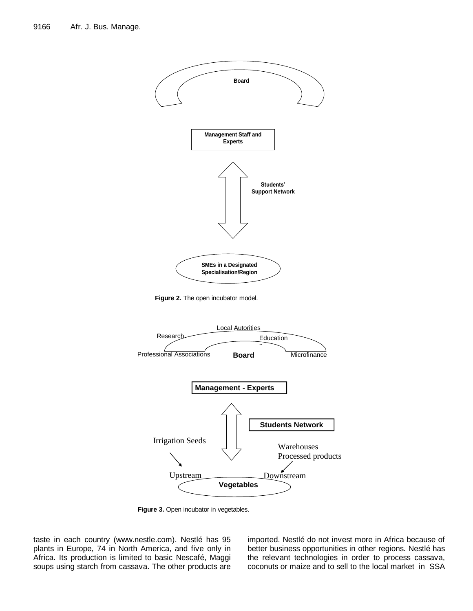

Figure 2. The open incubator model.



Figure 3. Open incubator in vegetables.

taste in each country (www.nestle.com). Nestlé has 95 plants in Europe, 74 in North America, and five only in Africa. Its production is limited to basic Nescafé, Maggi soups using starch from cassava. The other products are imported. Nestlé do not invest more in Africa because of better business opportunities in other regions. Nestlé has the relevant technologies in order to process cassava, coconuts or maize and to sell to the local market in SSA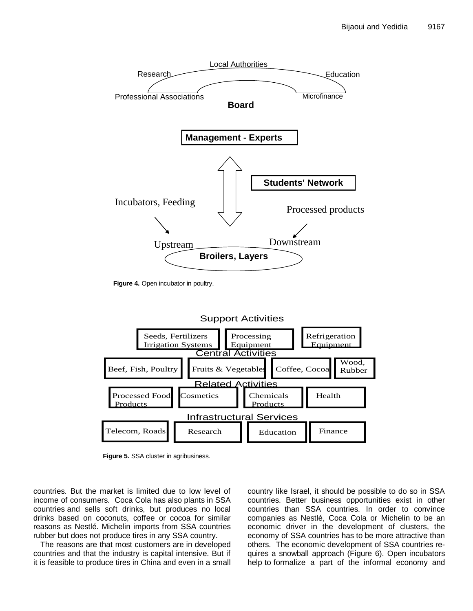

Figure 4. Open incubator in poultry.



**Figure 5.** SSA cluster in agribusiness.

countries. But the market is limited due to low level of income of consumers. Coca Cola has also plants in SSA countries and sells soft drinks, but produces no local drinks based on coconuts, coffee or cocoa for similar reasons as Nestlé. Michelin imports from SSA countries rubber but does not produce tires in any SSA country.

The reasons are that most customers are in developed countries and that the industry is capital intensive. But if it is feasible to produce tires in China and even in a small country like Israel, it should be possible to do so in SSA countries. Better business opportunities exist in other countries than SSA countries. In order to convince companies as Nestlé, Coca Cola or Michelin to be an economic driver in the development of clusters, the economy of SSA countries has to be more attractive than others. The economic development of SSA countries requires a snowball approach (Figure 6). Open incubators help to formalize a part of the informal economy and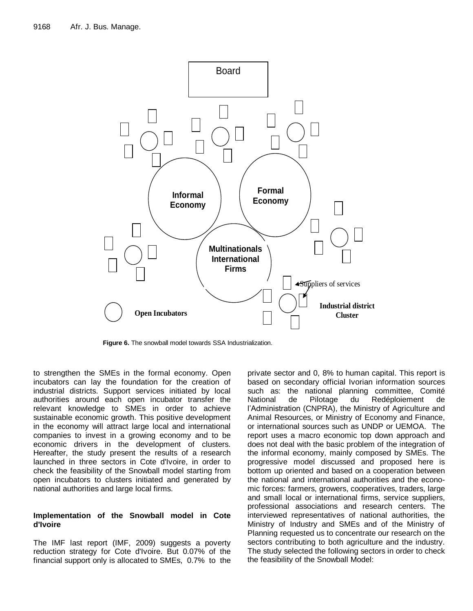

**Figure 6.** The snowball model towards SSA Industrialization.

to strengthen the SMEs in the formal economy. Open incubators can lay the foundation for the creation of industrial districts. Support services initiated by local authorities around each open incubator transfer the relevant knowledge to SMEs in order to achieve sustainable economic growth. This positive development in the economy will attract large local and international companies to invest in a growing economy and to be economic drivers in the development of clusters. Hereafter, the study present the results of a research launched in three sectors in Cote d'Ivoire, in order to check the feasibility of the Snowball model starting from open incubators to clusters initiated and generated by national authorities and large local firms.

#### **Implementation of the Snowball model in Cote d'Ivoire**

The IMF last report (IMF, 2009) suggests a poverty reduction strategy for Cote d'Ivoire. But 0.07% of the financial support only is allocated to SMEs, 0.7% to the private sector and 0, 8% to human capital. This report is based on secondary official Ivorian information sources such as: the national planning committee, Comité National de Pilotage du Redéploiement de l'Administration (CNPRA), the Ministry of Agriculture and Animal Resources, or Ministry of Economy and Finance, or international sources such as UNDP or UEMOA. The report uses a macro economic top down approach and does not deal with the basic problem of the integration of the informal economy, mainly composed by SMEs. The progressive model discussed and proposed here is bottom up oriented and based on a cooperation between the national and international authorities and the economic forces: farmers, growers, cooperatives, traders, large and small local or international firms, service suppliers, professional associations and research centers. The interviewed representatives of national authorities, the Ministry of Industry and SMEs and of the Ministry of Planning requested us to concentrate our research on the sectors contributing to both agriculture and the industry. The study selected the following sectors in order to check the feasibility of the Snowball Model: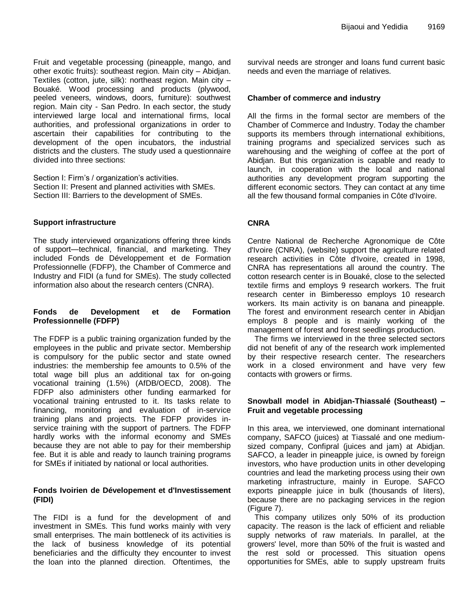Fruit and vegetable processing (pineapple, mango, and other exotic fruits): southeast region. Main city – Abidjan. Textiles (cotton, jute, silk): northeast region. Main city – Bouaké. Wood processing and products (plywood, peeled veneers, windows, doors, furniture): southwest region. Main city - San Pedro. In each sector, the study interviewed large local and international firms, local authorities, and professional organizations in order to ascertain their capabilities for contributing to the development of the open incubators, the industrial districts and the clusters. The study used a questionnaire divided into three sections:

Section I: Firm's / organization's activities. Section II: Present and planned activities with SMEs. Section III: Barriers to the development of SMEs.

#### **Support infrastructure**

The study interviewed organizations offering three kinds of support—technical, financial, and marketing. They included Fonds de Développement et de Formation Professionnelle (FDFP), the Chamber of Commerce and Industry and FIDI (a fund for SMEs). The study collected information also about the research centers (CNRA).

#### **Fonds de Development et de Formation Professionnelle (FDFP)**

The FDFP is a public training organization funded by the employees in the public and private sector. Membership is compulsory for the public sector and state owned industries: the membership fee amounts to 0.5% of the total wage bill plus an additional tax for on-going vocational training (1.5%) (AfDB/OECD, 2008). The FDFP also administers other funding earmarked for vocational training entrusted to it. Its tasks relate to financing, monitoring and evaluation of in-service training plans and projects. The FDFP provides inservice training with the support of partners. The FDFP hardly works with the informal economy and SMEs because they are not able to pay for their membership fee. But it is able and ready to launch training programs for SMEs if initiated by national or local authorities.

#### **Fonds Ivoirien de Dévelopement et d'Investissement (FIDI)**

The FIDI is a fund for the development of and investment in SMEs. This fund works mainly with very small enterprises. The main bottleneck of its activities is the lack of business knowledge of its potential beneficiaries and the difficulty they encounter to invest the loan into the planned direction. Oftentimes, the

survival needs are stronger and loans fund current basic needs and even the marriage of relatives.

#### **Chamber of commerce and industry**

All the firms in the formal sector are members of the Chamber of Commerce and Industry. Today the chamber supports its members through international exhibitions, training programs and specialized services such as warehousing and the weighing of coffee at the port of Abidjan. But this organization is capable and ready to launch, in cooperation with the local and national authorities any development program supporting the different economic sectors. They can contact at any time all the few thousand formal companies in Côte d'Ivoire.

## **CNRA**

Centre National de Recherche Agronomique de Côte d'Ivoire (CNRA), (website) support the agriculture related research activities in Côte d'Ivoire, created in 1998, CNRA has representations all around the country. The cotton research center is in Bouaké, close to the selected textile firms and employs 9 research workers. The fruit research center in Bimberesso employs 10 research workers. Its main activity is on banana and pineapple. The forest and environment research center in Abidjan employs 8 people and is mainly working of the management of forest and forest seedlings production.

The firms we interviewed in the three selected sectors did not benefit of any of the research work implemented by their respective research center. The researchers work in a closed environment and have very few contacts with growers or firms.

## **Snowball model in Abidjan-Thiassalé (Southeast) – Fruit and vegetable processing**

In this area, we interviewed, one dominant international company, SAFCO (juices) at Tiassalé and one mediumsized company, Confipral (juices and jam) at Abidjan. SAFCO, a leader in pineapple juice, is owned by foreign investors, who have production units in other developing countries and lead the marketing process using their own marketing infrastructure, mainly in Europe. SAFCO exports pineapple juice in bulk (thousands of liters), because there are no packaging services in the region (Figure 7).

This company utilizes only 50% of its production capacity. The reason is the lack of efficient and reliable supply networks of raw materials. In parallel, at the growers' level, more than 50% of the fruit is wasted and the rest sold or processed. This situation opens opportunities for SMEs, able to supply upstream fruits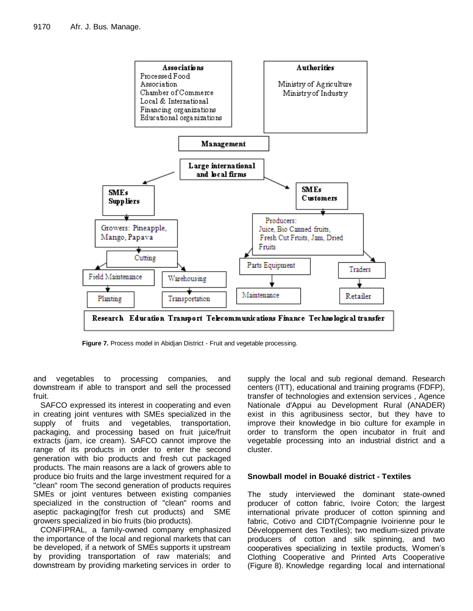

**Figure 7.** Process model in Abidjan District - Fruit and vegetable processing.

and vegetables to processing companies, and downstream if able to transport and sell the processed fruit.

SAFCO expressed its interest in cooperating and even in creating joint ventures with SMEs specialized in the supply of fruits and vegetables, transportation, packaging, and processing based on fruit juice/fruit extracts (jam, ice cream). SAFCO cannot improve the range of its products in order to enter the second generation with bio products and fresh cut packaged products. The main reasons are a lack of growers able to produce bio fruits and the large investment required for a "clean" room The second generation of products requires SMEs or joint ventures between existing companies specialized in the construction of "clean" rooms and aseptic packaging(for fresh cut products) and SME growers specialized in bio fruits (bio products).

CONFIPRAL, a family-owned company emphasized the importance of the local and regional markets that can be developed, if a network of SMEs supports it upstream by providing transportation of raw materials; and downstream by providing marketing services in order to

supply the local and sub regional demand. Research centers (ITT), educational and training programs (FDFP), transfer of technologies and extension services , Agence Nationale d'Appui au Development Rural (ANADER) exist in this agribusiness sector, but they have to improve their knowledge in bio culture for example in order to transform the open incubator in fruit and vegetable processing into an industrial district and a cluster.

#### **Snowball model in Bouaké district - Textiles**

The study interviewed the dominant state-owned producer of cotton fabric, Ivoire Coton; the largest international private producer of cotton spinning and fabric, Cotivo and CIDT*(*Compagnie Ivoirienne pour le Développement des Textiles); two medium-sized private producers of cotton and silk spinning, and two cooperatives specializing in textile products, Women's Clothing Cooperative and Printed Arts Cooperative (Figure 8). Knowledge regarding local and international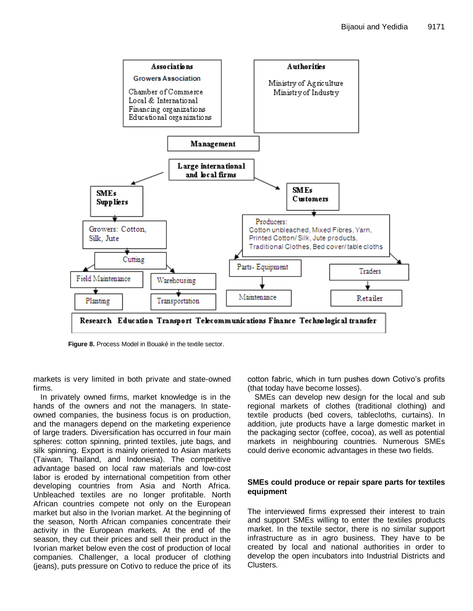

**Figure 8.** Process Model in Bouaké in the textile sector.

markets is very limited in both private and state-owned firms.

In privately owned firms, market knowledge is in the hands of the owners and not the managers. In stateowned companies, the business focus is on production, and the managers depend on the marketing experience of large traders. Diversification has occurred in four main spheres: cotton spinning, printed textiles, jute bags, and silk spinning. Export is mainly oriented to Asian markets (Taiwan, Thailand, and Indonesia). The competitive advantage based on local raw materials and low-cost labor is eroded by international competition from other developing countries from Asia and North Africa. Unbleached textiles are no longer profitable. North African countries compete not only on the European market but also in the Ivorian market. At the beginning of the season, North African companies concentrate their activity in the European markets. At the end of the season, they cut their prices and sell their product in the Ivorian market below even the cost of production of local companies. Challenger, a local producer of clothing (jeans), puts pressure on Cotivo to reduce the price of its

cotton fabric, which in turn pushes down Cotivo's profits (that today have become losses).

SMEs can develop new design for the local and sub regional markets of clothes (traditional clothing) and textile products (bed covers, tablecloths, curtains). In addition, jute products have a large domestic market in the packaging sector (coffee, cocoa), as well as potential markets in neighbouring countries. Numerous SMEs could derive economic advantages in these two fields.

#### **SMEs could produce or repair spare parts for textiles equipment**

The interviewed firms expressed their interest to train and support SMEs willing to enter the textiles products market. In the textile sector, there is no similar support infrastructure as in agro business. They have to be created by local and national authorities in order to develop the open incubators into Industrial Districts and Clusters.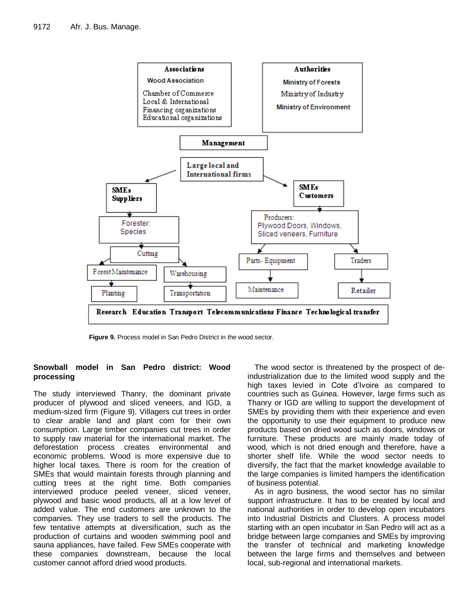

**Figure 9.** Process model in San Pedro District in the wood sector.

## **Snowball model in San Pedro district: Wood processing**

The study interviewed Thanry, the dominant private producer of plywood and sliced veneers, and IGD, a medium-sized firm (Figure 9). Villagers cut trees in order to clear arable land and plant corn for their own consumption. Large timber companies cut trees in order to supply raw material for the international market. The deforestation process creates environmental and economic problems. Wood is more expensive due to higher local taxes. There is room for the creation of SMEs that would maintain forests through planning and cutting trees at the right time. Both companies interviewed produce peeled veneer, sliced veneer, plywood and basic wood products, all at a low level of added value. The end customers are unknown to the companies. They use traders to sell the products. The few tentative attempts at diversification, such as the production of curtains and wooden swimming pool and sauna appliances, have failed. Few SMEs cooperate with these companies downstream, because the local customer cannot afford dried wood products.

The wood sector is threatened by the prospect of deindustrialization due to the limited wood supply and the high taxes levied in Cote d'Ivoire as compared to countries such as Guinea. However, large firms such as Thanry or IGD are willing to support the development of SMEs by providing them with their experience and even the opportunity to use their equipment to produce new products based on dried wood such as doors, windows or furniture. These products are mainly made today of wood, which is not dried enough and therefore, have a shorter shelf life. While the wood sector needs to diversify, the fact that the market knowledge available to the large companies is limited hampers the identification of business potential.

As in agro business, the wood sector has no similar support infrastructure. It has to be created by local and national authorities in order to develop open incubators into Industrial Districts and Clusters. A process model starting with an open incubator in San Pedro will act as a bridge between large companies and SMEs by improving the transfer of technical and marketing knowledge between the large firms and themselves and between local, sub-regional and international markets.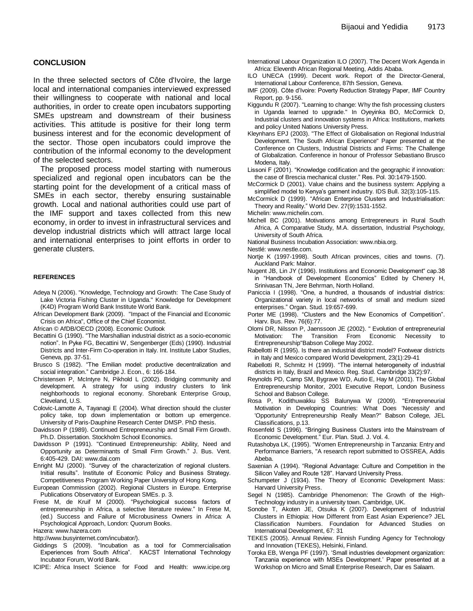#### **CONCLUSION**

In the three selected sectors of Côte d'Ivoire, the large local and international companies interviewed expressed their willingness to cooperate with national and local authorities, in order to create open incubators supporting SMEs upstream and downstream of their business activities. This attitude is positive for their long term business interest and for the economic development of the sector. Those open incubators could improve the contribution of the informal economy to the development of the selected sectors.

The proposed process model starting with numerous specialized and regional open incubators can be the starting point for the development of a critical mass of SMEs in each sector, thereby ensuring sustainable growth. Local and national authorities could use part of the IMF support and taxes collected from this new economy, in order to invest in infrastructural services and develop industrial districts which will attract large local and international enterprises to joint efforts in order to generate clusters.

#### **REFERENCES**

- Adeya N (2006). "Knowledge, Technology and Growth: The Case Study of Lake Victoria Fishing Cluster in Uganda." Knowledge for Development (K4D) Program World Bank Institute World Bank.
- African Development Bank (2009). "Impact of the Financial and Economic Crisis on Africa", Office of the Chief Economist.
- African © AfDB/OECD (2008). Economic Outlook
- Becattini G (1990). "The Marshallian industrial district as a socio-economic notion". In Pyke FG, Becattini W, Sengenberger (Eds) (1990). Industrial Districts and Inter-Firm Co-operation in Italy. Int. Institute Labor Studies, Geneva, pp. 37-51.
- Brusco S (1982). "The Emilian model: productive decentralization and social integration." Cambridge J. Econ., 6: 166-184.
- Christensen P, McIntyre N, Pikhold L (2002). Bridging community and development. A strategy for using industry clusters to link neighborhoods to regional economy. Shorebank Enterprise Group, Cleveland, U.S.
- Colovic-Lamotte A, Tayanagi E (2004). What direction should the cluster policy take, top down implementation or bottom up emergence. University of Paris-Dauphine Research Center DMSP. PhD thesis.
- Davidsson P (1989). Continued Entrepreneurship and Small Firm Growth. Ph.D. Dissertation. Stockholm School Economics.
- Davidsson P (1991). "Continued Entrepreneurship: Ability, Need and Opportunity as Determinants of Small Firm Growth.‖ J. Bus. Vent. 6:405-429. DAI: www.dai.com
- Enright MJ (2000). "Survey of the characterization of regional clusters. Initial results". Institute of Economic Policy and Business Strategy. Competitiveness Program Working Paper University of Hong Kong.
- European Commission (2002). Regional Clusters in Europe. Enterprise Publications Observatory of European SMEs. p. 3.
- Frese M, de Kruif M (2000). "Psychological success factors of entrepreneurship in Africa, a selective literature review." In Frese M, (ed.) Success and Failure of Microbusiness Owners in Africa: A Psychological Approach, London: Quorum Books.

Hazera: www.hazera.com

http://www.busyinternet.com/incubator/).

- Giddings S (2009). "Incubation as a tool for Commercialisation Experiences from South Africa". KACST International Technology Incubator Forum, World Bank.
- ICIPE: Africa Insect Science for Food and Health: www.icipe.org
- International Labour Organization ILO (2007). The Decent Work Agenda in Africa: Eleventh African Regional Meeting, Addis Ababa.
- ILO UNECA (1999). Decent work. Report of the Director-General, International Labour Conference, 87th Session, Geneva.
- IMF (2009). Côte d'Ivoire: Poverty Reduction Strategy Paper, IMF Country Report, pp. 9-156.
- Kiggundu R (2007). "Learning to change: Why the fish processing clusters in Uganda learned to upgrade." In Oyeyinka BO, McCormick D, Industrial clusters and innovation systems in Africa: Institutions, markets and policy United Nations University Press.
- Kleynhans EPJ (2003). "The Effect of Globalisation on Regional Industrial Development. The South African Experience" Paper presented at the Conference on Clusters, Industrial Districts and Firms: The Challenge of Globalization. Conference in honour of Professor Sebastiano Brusco Modena, Italy.
- Lissoni F (2001). "Knowledge codification and the geographic if innovation: the case of Brescia mechanical cluster." Res. Pol. 30:1479-1500.
- McCormick D (2001). Value chains and the business system: Applying a simplified model to Kenya's garment industry. IDS Bull. 32(3):105-115.
- McCormick D (1999). "African Enterprise Clusters and Industrialisation:
- Theory and  $\overline{\text{Reality}}$ ." World Dev. 27(9):1531-1552.
- Michelin[: www.michelin.com.](http://www.michelin.com/)
- Michell BC (2001). Motivations among Entrepreneurs in Rural South Africa, A Comparative Study, M.A. dissertation, Industrial Psychology, University of South Africa.
- National Business Incubation Association: www.nbia.org.

Nestlé: www.nestle.com.

- Nortje K (1997-1998). South African provinces, cities and towns. (7). Auckland Park: Malnor.
- Nugent JB, Lin JY (1996). Institutions and Economic Development" cap.38 in "Handbook of Development Economics" Edited by Chenery H, Srinivasan TN, Jere Behrman, North Holland.
- Paniccia I (1998). "One, a hundred, a thousands of industrial districs: Organizational variety in local networks of small and medium sized enterprises.‖ Organ. Stud. 19:657-699.
- Porter ME (1998). "Clusters and the New Economics of Competition". Harv. Bus. Rev. 76(6):77.
- Olomi DR, Nilsson P, Jaenssoon JE (2002). " Evolution of entrepreneurial Motivation: The Transition From Economic Necessity to Entrepreneurship"Babson College May 2002.
- Rabellotti R (1995). Is there an industrial district model? Footwear districts in Italy and Mexico compared World Development, 23(1):29-41
- Rabellotti R, Schmitz H (1999). "The internal heterogeneity of industrial districts in Italy, Brazil and Mexico. Reg. Stud. Cambridge 33(2):97.
- Reynolds PD, Camp SM, Bygrave WD, Autio E, Hay M (2001). The Global Entrepreneurship Monitor, 2001 Executive Report, London Business School and Babson College.
- Rosa P, Kodithuwakku SS [Balunywa W \(2009\). "](http://papers.ssrn.com/sol3/cf_dev/AbsByAuth.cfm?per_id=1169563)Entrepreneurial Motivation in Developing Countries: What Does 'Necessity' and 'Opportunity' Entrepreneurship Really Mean?" Babson College, JEL Classifications, p.13.
- Rosenfeld S (1996). "Bringing Business Clusters into the Mainstream of Economic Development." Eur. Plan. Stud. J. Vol. 4.
- Rutashobya LK, (1995). "Women Entrepreneurship in Tanzania: Entry and Performance Barriers, "A research report submitted to OSSREA, Addis Abeba.
- Saxenian A (1994). "Regional Advantage: Culture and Competition in the Silicon Valley and Route 128". Harvard University Press.
- Schumpeter J (1934). The Theory of Economic Development Mass: Harvard University Press.
- Segel N (1985). Cambridge Phenomenon: The Growth of the High-Technology industry in a university town. Cambridge, UK.
- Sonobe T, Akoten JE, Otsuka K (2007). Development of Industrial Clusters in Ethiopia: How Different from East Asian Experience? JEL Classification Numbers. Foundation for Advanced Studies on International Development, 67: 31
- TEKES (2005). Annual Review. Finnish Funding Agency for Technology and Innovation (TEKES), Helsinki, Finland.
- Toroka EB, Wenga PF (1997). ‗Small industries development organization: Tanzania experience with MSEs Development.' Paper presented at a Workshop on Micro and Small Enterprise Research, Dar es Salaam.